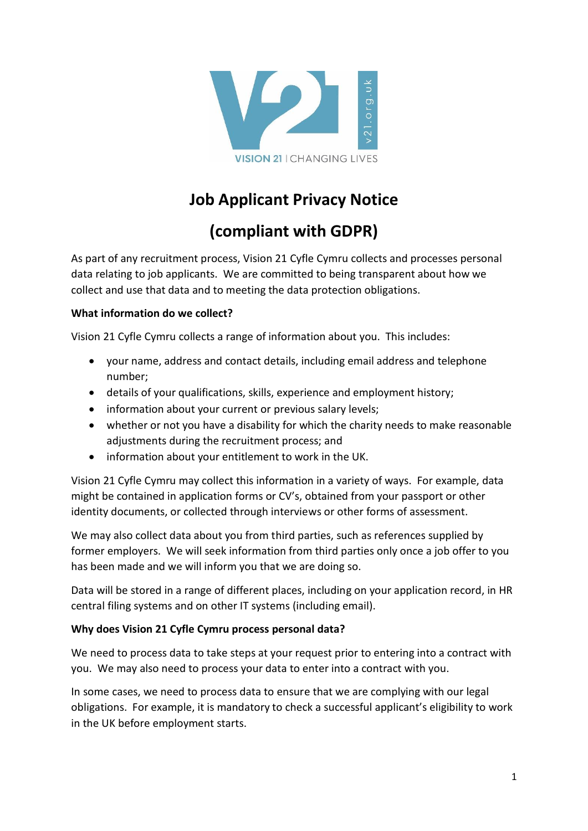

# **Job Applicant Privacy Notice**

# **(compliant with GDPR)**

As part of any recruitment process, Vision 21 Cyfle Cymru collects and processes personal data relating to job applicants. We are committed to being transparent about how we collect and use that data and to meeting the data protection obligations.

#### **What information do we collect?**

Vision 21 Cyfle Cymru collects a range of information about you. This includes:

- your name, address and contact details, including email address and telephone number;
- details of your qualifications, skills, experience and employment history;
- information about your current or previous salary levels;
- whether or not you have a disability for which the charity needs to make reasonable adjustments during the recruitment process; and
- information about your entitlement to work in the UK.

Vision 21 Cyfle Cymru may collect this information in a variety of ways. For example, data might be contained in application forms or CV's, obtained from your passport or other identity documents, or collected through interviews or other forms of assessment.

We may also collect data about you from third parties, such as references supplied by former employers. We will seek information from third parties only once a job offer to you has been made and we will inform you that we are doing so.

Data will be stored in a range of different places, including on your application record, in HR central filing systems and on other IT systems (including email).

#### **Why does Vision 21 Cyfle Cymru process personal data?**

We need to process data to take steps at your request prior to entering into a contract with you. We may also need to process your data to enter into a contract with you.

In some cases, we need to process data to ensure that we are complying with our legal obligations. For example, it is mandatory to check a successful applicant's eligibility to work in the UK before employment starts.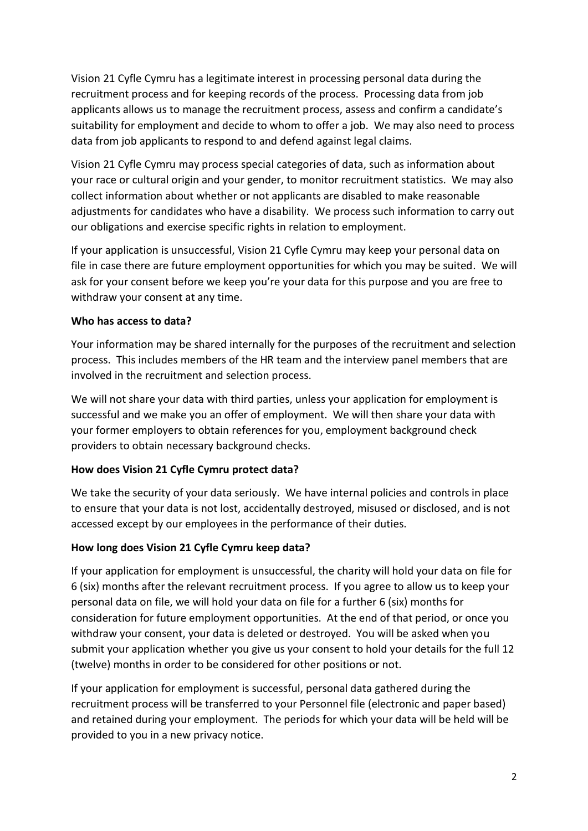Vision 21 Cyfle Cymru has a legitimate interest in processing personal data during the recruitment process and for keeping records of the process. Processing data from job applicants allows us to manage the recruitment process, assess and confirm a candidate's suitability for employment and decide to whom to offer a job. We may also need to process data from job applicants to respond to and defend against legal claims.

Vision 21 Cyfle Cymru may process special categories of data, such as information about your race or cultural origin and your gender, to monitor recruitment statistics. We may also collect information about whether or not applicants are disabled to make reasonable adjustments for candidates who have a disability. We process such information to carry out our obligations and exercise specific rights in relation to employment.

If your application is unsuccessful, Vision 21 Cyfle Cymru may keep your personal data on file in case there are future employment opportunities for which you may be suited. We will ask for your consent before we keep you're your data for this purpose and you are free to withdraw your consent at any time.

#### **Who has access to data?**

Your information may be shared internally for the purposes of the recruitment and selection process. This includes members of the HR team and the interview panel members that are involved in the recruitment and selection process.

We will not share your data with third parties, unless your application for employment is successful and we make you an offer of employment. We will then share your data with your former employers to obtain references for you, employment background check providers to obtain necessary background checks.

#### **How does Vision 21 Cyfle Cymru protect data?**

We take the security of your data seriously. We have internal policies and controls in place to ensure that your data is not lost, accidentally destroyed, misused or disclosed, and is not accessed except by our employees in the performance of their duties.

#### **How long does Vision 21 Cyfle Cymru keep data?**

If your application for employment is unsuccessful, the charity will hold your data on file for 6 (six) months after the relevant recruitment process. If you agree to allow us to keep your personal data on file, we will hold your data on file for a further 6 (six) months for consideration for future employment opportunities. At the end of that period, or once you withdraw your consent, your data is deleted or destroyed. You will be asked when you submit your application whether you give us your consent to hold your details for the full 12 (twelve) months in order to be considered for other positions or not.

If your application for employment is successful, personal data gathered during the recruitment process will be transferred to your Personnel file (electronic and paper based) and retained during your employment. The periods for which your data will be held will be provided to you in a new privacy notice.